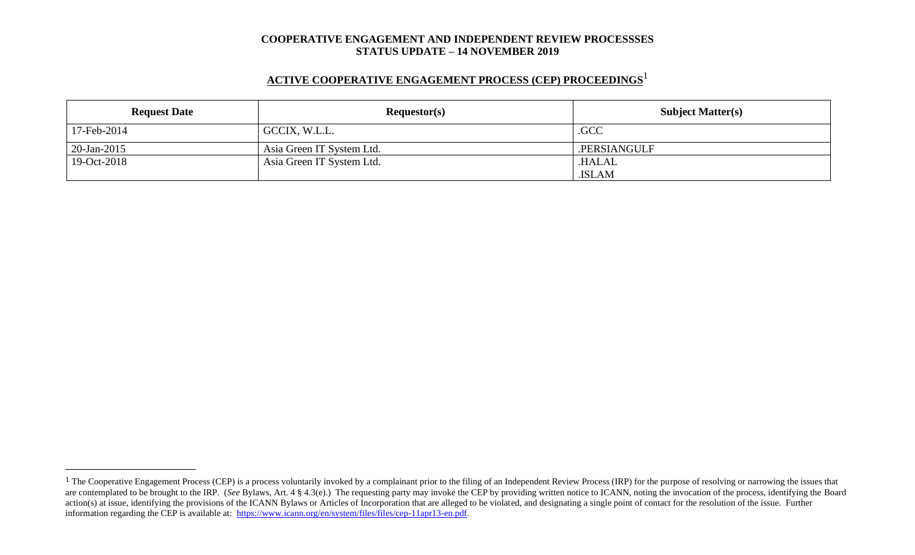# **ACTIVE COOPERATIVE ENGAGEMENT PROCESS (CEP) PROCEEDINGS** 1

| <b>Request Date</b> | Requestor(s)              | <b>Subject Matter(s)</b> |  |
|---------------------|---------------------------|--------------------------|--|
| 17-Feb-2014         | GCCIX, W.L.L.             | .GCC                     |  |
| $20$ -Jan-2015      | Asia Green IT System Ltd. | .PERSIANGULF             |  |
| 19-Oct-2018         | Asia Green IT System Ltd. | .HALAL                   |  |
|                     |                           | .ISLAM                   |  |

<sup>&</sup>lt;sup>1</sup> The Cooperative Engagement Process (CEP) is a process voluntarily invoked by a complainant prior to the filing of an Independent Review Process (IRP) for the purpose of resolving or narrowing the issues that are contemplated to be brought to the IRP. (*See* Bylaws, Art. 4 § 4.3(e).) The requesting party may invoke the CEP by providing written notice to ICANN, noting the invocation of the process, identifying the Board action(s) at issue, identifying the provisions of the ICANN Bylaws or Articles of Incorporation that are alleged to be violated, and designating a single point of contact for the resolution of the issue. Further information regarding the CEP is available at: [https://www.icann.org/en/system/files/files/cep-11apr13-en.pdf.](https://www.icann.org/en/system/files/files/cep-11apr13-en.pdf)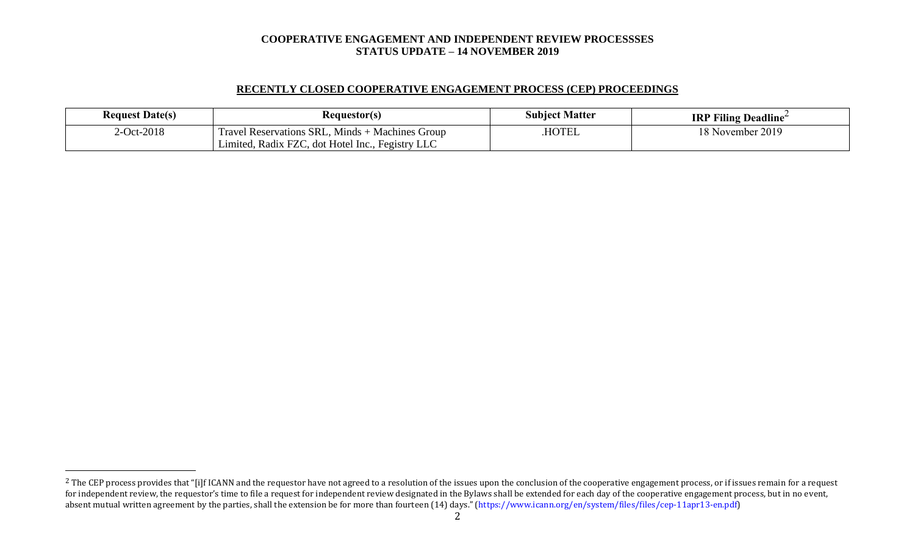## **RECENTLY CLOSED COOPERATIVE ENGAGEMENT PROCESS (CEP) PROCEEDINGS**

| <b>Request Date(s)</b> | Requestor(s)                                                                                                    | <b>Subject Matter</b> | <b>IRP Filing Deadline</b> |
|------------------------|-----------------------------------------------------------------------------------------------------------------|-----------------------|----------------------------|
| $2$ -Oct-2018          | I Reservations SRL, Minds + Machines Group<br><b>Travel</b><br>Limited, Radix FZC, dot Hotel Inc., Fegistry LLC | <b>HOTEL</b>          | 2019<br>18 November 2      |

<sup>&</sup>lt;sup>2</sup> The CEP process provides that "[i]f ICANN and the requestor have not agreed to a resolution of the issues upon the conclusion of the cooperative engagement process, or if issues remain for a request for independent review, the requestor's time to file a request for independent review designated in the Bylaws shall be extended for each day of the cooperative engagement process, but in no event, absent mutual written agreement by the parties, shall the extension be for more than fourteen (14) days." (https://www.icann.org/en/system/files/files/cep-11apr13-en.pdf)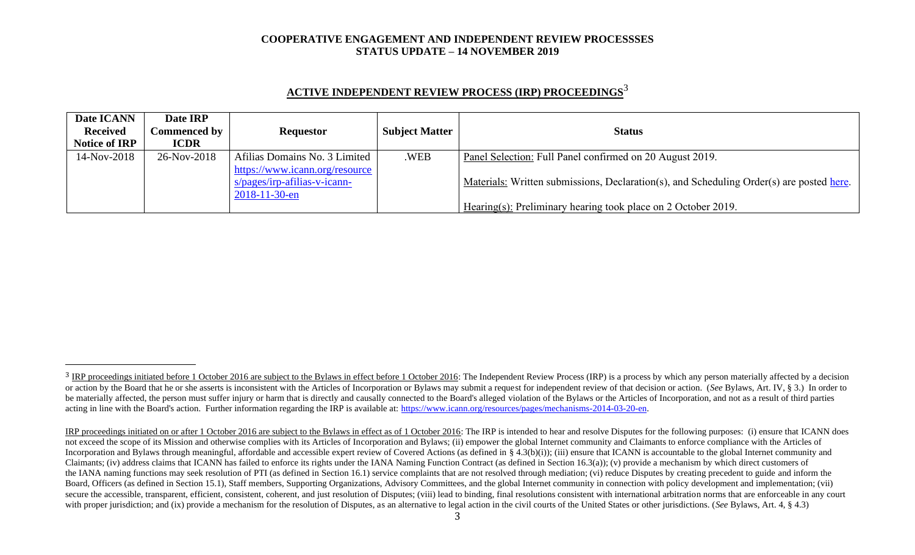| <b>ACTIVE INDEPENDENT REVIEW PROCESS (IRP) PROCEEDINGS<sup>3</sup></b> |  |
|------------------------------------------------------------------------|--|
|                                                                        |  |

| Date ICANN           | Date IRP            |                                |                       |                                                                                          |
|----------------------|---------------------|--------------------------------|-----------------------|------------------------------------------------------------------------------------------|
| <b>Received</b>      | <b>Commenced by</b> | <b>Requestor</b>               | <b>Subject Matter</b> | <b>Status</b>                                                                            |
| <b>Notice of IRP</b> | <b>ICDR</b>         |                                |                       |                                                                                          |
| 14-Nov-2018          | 26-Nov-2018         | Afilias Domains No. 3 Limited  | .WEB                  | Panel Selection: Full Panel confirmed on 20 August 2019.                                 |
|                      |                     | https://www.icann.org/resource |                       |                                                                                          |
|                      |                     | $s/pages/irp-afilias-v-icann-$ |                       | Materials: Written submissions, Declaration(s), and Scheduling Order(s) are posted here. |
|                      |                     | $2018 - 11 - 30 - en$          |                       |                                                                                          |
|                      |                     |                                |                       | Hearing(s): Preliminary hearing took place on 2 October 2019.                            |

<sup>&</sup>lt;sup>3</sup> IRP proceedings initiated before 1 October 2016 are subject to the Bylaws in effect before 1 October 2016: The Independent Review Process (IRP) is a process by which any person materially affected by a decision or action by the Board that he or she asserts is inconsistent with the Articles of Incorporation or Bylaws may submit a request for independent review of that decision or action. (See Bylaws, Art. IV, § 3.) In order to be materially affected, the person must suffer injury or harm that is directly and causally connected to the Board's alleged violation of the Bylaws or the Articles of Incorporation, and not as a result of third parties acting in line with the Board's action. Further information regarding the IRP is available at: [https://www.icann.org/resources/pages/mechanisms-2014-03-20-en.](https://www.icann.org/resources/pages/mechanisms-2014-03-20-en)

IRP proceedings initiated on or after 1 October 2016 are subject to the Bylaws in effect as of 1 October 2016: The IRP is intended to hear and resolve Disputes for the following purposes: (i) ensure that ICANN does not exceed the scope of its Mission and otherwise complies with its Articles of Incorporation and Bylaws; (ii) empower the global Internet community and Claimants to enforce compliance with the Articles of Incorporation and Bylaws through meaningful, affordable and accessible expert review of Covered Actions (as defined in § 4.3(b)(i)); (iii) ensure that ICANN is accountable to the global Internet community and Claimants; (iv) address claims that ICANN has failed to enforce its rights under the IANA Naming Function Contract (as defined in Section 16.3(a)); (v) provide a mechanism by which direct customers of the IANA naming functions may seek resolution of PTI (as defined in Section 16.1) service complaints that are not resolved through mediation; (vi) reduce Disputes by creating precedent to guide and inform the Board, Officers (as defined in Section 15.1), Staff members, Supporting Organizations, Advisory Committees, and the global Internet community in connection with policy development and implementation; (vii) secure the accessible, transparent, efficient, consistent, coherent, and just resolution of Disputes; (viii) lead to binding, final resolutions consistent with international arbitration norms that are enforceable in any co with proper jurisdiction; and (ix) provide a mechanism for the resolution of Disputes, as an alternative to legal action in the civil courts of the United States or other jurisdictions. (*See* Bylaws, Art. 4, § 4.3)